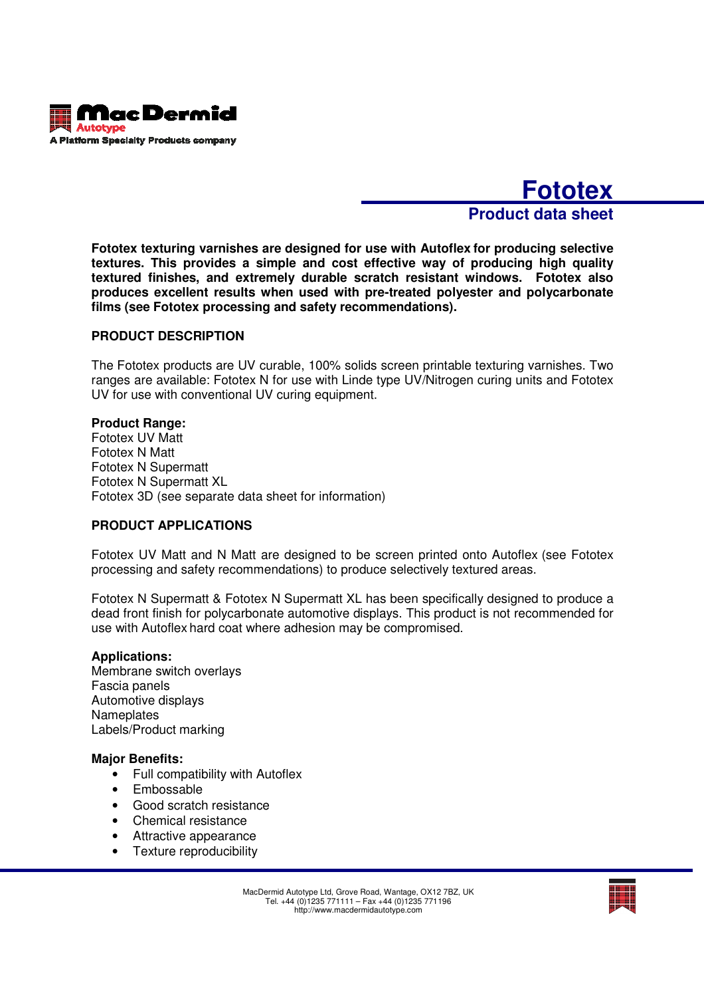

# **Fototex Product data sheet**

**Fototex texturing varnishes are designed for use with Autoflex for producing selective textures. This provides a simple and cost effective way of producing high quality textured finishes, and extremely durable scratch resistant windows. Fototex also produces excellent results when used with pre-treated polyester and polycarbonate films (see Fototex processing and safety recommendations).** 

# **PRODUCT DESCRIPTION**

The Fototex products are UV curable, 100% solids screen printable texturing varnishes. Two ranges are available: Fototex N for use with Linde type UV/Nitrogen curing units and Fototex UV for use with conventional UV curing equipment.

### **Product Range:**

Fototex UV Matt Fototex N Matt Fototex N Supermatt Fototex N Supermatt XL Fototex 3D (see separate data sheet for information)

### **PRODUCT APPLICATIONS**

Fototex UV Matt and N Matt are designed to be screen printed onto Autoflex (see Fototex processing and safety recommendations) to produce selectively textured areas.

Fototex N Supermatt & Fototex N Supermatt XL has been specifically designed to produce a dead front finish for polycarbonate automotive displays. This product is not recommended for use with Autoflex hard coat where adhesion may be compromised.

### **Applications:**

Membrane switch overlays Fascia panels Automotive displays **Nameplates** Labels/Product marking

#### **Major Benefits:**

- Full compatibility with Autoflex
- Embossable
- Good scratch resistance
- Chemical resistance
- Attractive appearance
- Texture reproducibility

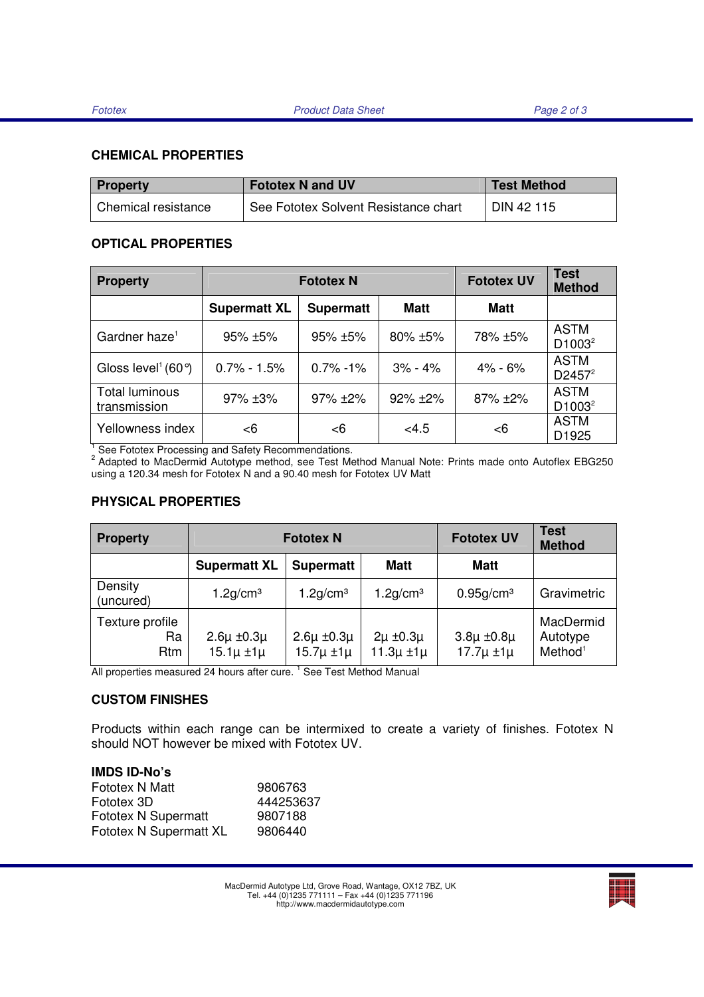# **CHEMICAL PROPERTIES**

| <b>Property</b>     | <b>Fototex N and UV</b>              | <b>Test Method</b> |  |
|---------------------|--------------------------------------|--------------------|--|
| Chemical resistance | See Fototex Solvent Resistance chart | DIN 42 115         |  |

# **OPTICAL PROPERTIES**

| <b>Property</b>                                                                                                                                                        | <b>Fototex N</b>    |                  |              | <b>Fototex UV</b> | <b>Test</b><br><b>Method</b> |
|------------------------------------------------------------------------------------------------------------------------------------------------------------------------|---------------------|------------------|--------------|-------------------|------------------------------|
|                                                                                                                                                                        | <b>Supermatt XL</b> | <b>Supermatt</b> | <b>Matt</b>  | <b>Matt</b>       |                              |
| Gardner haze <sup>1</sup>                                                                                                                                              | $95\% + 5\%$        | $95\% + 5\%$     | $80\% + 5\%$ | 78% ±5%           | <b>ASTM</b><br>$D1003^2$     |
| Gloss level <sup>1</sup> (60 $\degree$ )                                                                                                                               | $0.7\% - 1.5\%$     | $0.7\% - 1\%$    | $3\% - 4\%$  | $4\% - 6\%$       | <b>ASTM</b><br>$D2457^2$     |
| Total luminous<br>transmission                                                                                                                                         | $97\% + 3\%$        | $97\% + 2\%$     | $92\% + 2\%$ | $87\%$ ±2%        | <b>ASTM</b><br>$D1003^2$     |
| Yellowness index                                                                                                                                                       | $<$ 6               | <6               | < 4.5        | <6                | <b>ASTM</b><br>D1925         |
| See Fototex Processing and Safety Recommendations.<br><sup>2</sup> Adapted to MacDermid Autotype method, see Test Method Manual Note: Prints made onto Autoflex EBG250 |                     |                  |              |                   |                              |

using a 120.34 mesh for Fototex N and a 90.40 mesh for Fototex UV Matt

# **PHYSICAL PROPERTIES**

| <b>Property</b>              | <b>Fototex N</b>                          |                                           |                                         | <b>Fototex UV</b>                         | Test<br><b>Method</b>                        |
|------------------------------|-------------------------------------------|-------------------------------------------|-----------------------------------------|-------------------------------------------|----------------------------------------------|
|                              | <b>Supermatt XL</b>                       | <b>Supermatt</b>                          | <b>Matt</b>                             | <b>Matt</b>                               |                                              |
| Density<br>(uncured)         | $1.2$ g/cm <sup>3</sup>                   | $1.2$ g/cm <sup>3</sup>                   | $1.2$ g/cm <sup>3</sup>                 | $0.95$ g/cm <sup>3</sup>                  | Gravimetric                                  |
| Texture profile<br>Ra<br>Rtm | $2.6\mu \pm 0.3\mu$<br>$15.1\mu \pm 1\mu$ | $2.6\mu \pm 0.3\mu$<br>$15.7\mu \pm 1\mu$ | $2\mu \pm 0.3\mu$<br>$11.3\mu \pm 1\mu$ | $3.8\mu \pm 0.8\mu$<br>$17.7\mu \pm 1\mu$ | MacDermid<br>Autotype<br>Method <sup>1</sup> |

All properties measured 24 hours after cure. <sup>1</sup> See Test Method Manual

# **CUSTOM FINISHES**

Products within each range can be intermixed to create a variety of finishes. Fototex N should NOT however be mixed with Fototex UV.

| <b>IMDS ID-No's</b>        |           |
|----------------------------|-----------|
| Fototex N Matt             | 9806763   |
| Fototex 3D                 | 444253637 |
| <b>Fototex N Supermatt</b> | 9807188   |
| Fototex N Supermatt XL     | 9806440   |